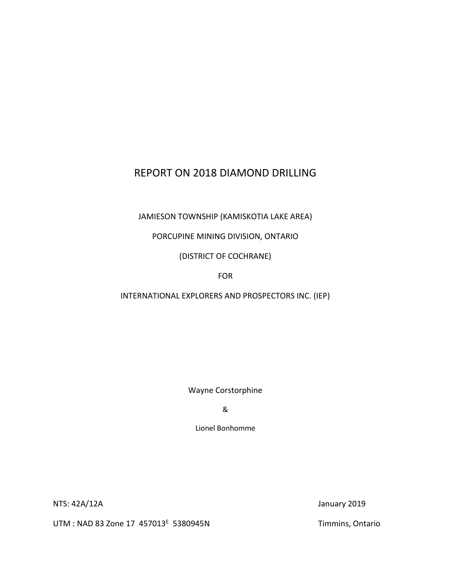# REPORT ON 2018 DIAMOND DRILLING

JAMIESON TOWNSHIP (KAMISKOTIA LAKE AREA)

PORCUPINE MINING DIVISION, ONTARIO

(DISTRICT OF COCHRANE)

FOR

INTERNATIONAL EXPLORERS AND PROSPECTORS INC. (IEP)

Wayne Corstorphine

&

Lionel Bonhomme

NTS: 42A/12A January 2019

UTM : NAD 83 Zone 17 457013<sup>E</sup> 5380945N

Timmins, Ontario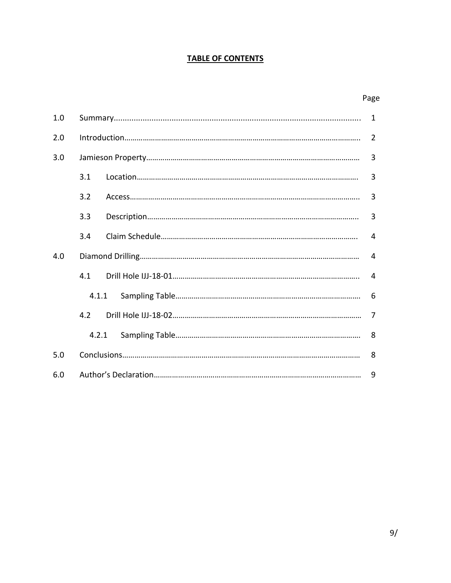#### **TABLE OF CONTENTS**

|--|

| 1.0 | $\mathbf{1}$   |                |                |  |  |  |  |  |
|-----|----------------|----------------|----------------|--|--|--|--|--|
| 2.0 | $\overline{2}$ |                |                |  |  |  |  |  |
| 3.0 | $\overline{3}$ |                |                |  |  |  |  |  |
|     | 3.1            |                | 3              |  |  |  |  |  |
|     | 3.2            |                | $\overline{3}$ |  |  |  |  |  |
|     | 3.3            |                |                |  |  |  |  |  |
|     | 3.4            | $\overline{4}$ |                |  |  |  |  |  |
| 4.0 | $\overline{4}$ |                |                |  |  |  |  |  |
|     | 4.1            |                | $\overline{4}$ |  |  |  |  |  |
|     | 4.1.1          |                |                |  |  |  |  |  |
|     | 4.2            |                | $\overline{7}$ |  |  |  |  |  |
|     | 4.2.1          |                | 8              |  |  |  |  |  |
| 5.0 |                |                |                |  |  |  |  |  |
| 6.0 | 9              |                |                |  |  |  |  |  |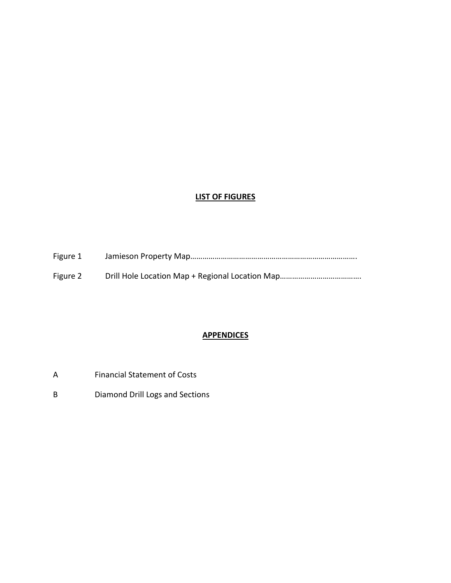#### **LIST OF FIGURES**

| Figure 1 |  |
|----------|--|
| Figure 2 |  |

#### **APPENDICES**

- A Financial Statement of Costs
- B Diamond Drill Logs and Sections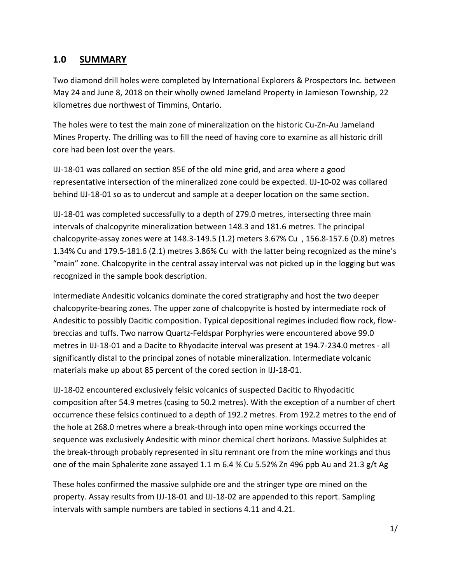## **1.0 SUMMARY**

Two diamond drill holes were completed by International Explorers & Prospectors Inc. between May 24 and June 8, 2018 on their wholly owned Jameland Property in Jamieson Township, 22 kilometres due northwest of Timmins, Ontario.

The holes were to test the main zone of mineralization on the historic Cu-Zn-Au Jameland Mines Property. The drilling was to fill the need of having core to examine as all historic drill core had been lost over the years.

IJJ-18-01 was collared on section 85E of the old mine grid, and area where a good representative intersection of the mineralized zone could be expected. IJJ-10-02 was collared behind IJJ-18-01 so as to undercut and sample at a deeper location on the same section.

IJJ-18-01 was completed successfully to a depth of 279.0 metres, intersecting three main intervals of chalcopyrite mineralization between 148.3 and 181.6 metres. The principal chalcopyrite-assay zones were at 148.3-149.5 (1.2) meters 3.67% Cu , 156.8-157.6 (0.8) metres 1.34% Cu and 179.5-181.6 (2.1) metres 3.86% Cu with the latter being recognized as the mine's "main" zone. Chalcopyrite in the central assay interval was not picked up in the logging but was recognized in the sample book description.

Intermediate Andesitic volcanics dominate the cored stratigraphy and host the two deeper chalcopyrite-bearing zones. The upper zone of chalcopyrite is hosted by intermediate rock of Andesitic to possibly Dacitic composition. Typical depositional regimes included flow rock, flowbreccias and tuffs. Two narrow Quartz-Feldspar Porphyries were encountered above 99.0 metres in IJJ-18-01 and a Dacite to Rhyodacite interval was present at 194.7-234.0 metres - all significantly distal to the principal zones of notable mineralization. Intermediate volcanic materials make up about 85 percent of the cored section in IJJ-18-01.

IJJ-18-02 encountered exclusively felsic volcanics of suspected Dacitic to Rhyodacitic composition after 54.9 metres (casing to 50.2 metres). With the exception of a number of chert occurrence these felsics continued to a depth of 192.2 metres. From 192.2 metres to the end of the hole at 268.0 metres where a break-through into open mine workings occurred the sequence was exclusively Andesitic with minor chemical chert horizons. Massive Sulphides at the break-through probably represented in situ remnant ore from the mine workings and thus one of the main Sphalerite zone assayed 1.1 m 6.4 % Cu 5.52% Zn 496 ppb Au and 21.3 g/t Ag

These holes confirmed the massive sulphide ore and the stringer type ore mined on the property. Assay results from IJJ-18-01 and IJJ-18-02 are appended to this report. Sampling intervals with sample numbers are tabled in sections 4.11 and 4.21.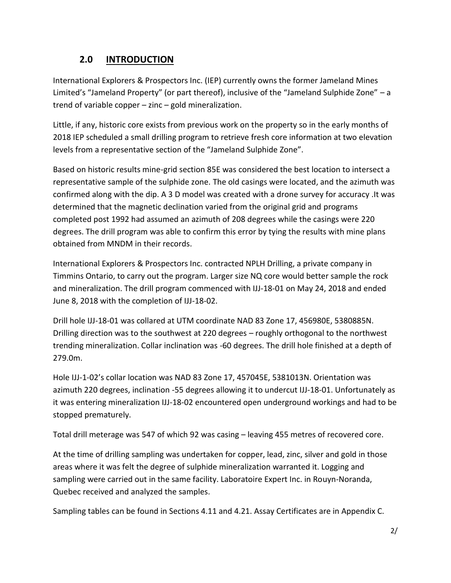# **2.0 INTRODUCTION**

International Explorers & Prospectors Inc. (IEP) currently owns the former Jameland Mines Limited's "Jameland Property" (or part thereof), inclusive of the "Jameland Sulphide Zone" – a trend of variable copper – zinc – gold mineralization.

Little, if any, historic core exists from previous work on the property so in the early months of 2018 IEP scheduled a small drilling program to retrieve fresh core information at two elevation levels from a representative section of the "Jameland Sulphide Zone".

Based on historic results mine-grid section 85E was considered the best location to intersect a representative sample of the sulphide zone. The old casings were located, and the azimuth was confirmed along with the dip. A 3 D model was created with a drone survey for accuracy .It was determined that the magnetic declination varied from the original grid and programs completed post 1992 had assumed an azimuth of 208 degrees while the casings were 220 degrees. The drill program was able to confirm this error by tying the results with mine plans obtained from MNDM in their records.

International Explorers & Prospectors Inc. contracted NPLH Drilling, a private company in Timmins Ontario, to carry out the program. Larger size NQ core would better sample the rock and mineralization. The drill program commenced with IJJ-18-01 on May 24, 2018 and ended June 8, 2018 with the completion of IJJ-18-02.

Drill hole IJJ-18-01 was collared at UTM coordinate NAD 83 Zone 17, 456980E, 5380885N. Drilling direction was to the southwest at 220 degrees – roughly orthogonal to the northwest trending mineralization. Collar inclination was -60 degrees. The drill hole finished at a depth of 279.0m.

Hole IJJ-1-02's collar location was NAD 83 Zone 17, 457045E, 5381013N. Orientation was azimuth 220 degrees, inclination -55 degrees allowing it to undercut IJJ-18-01. Unfortunately as it was entering mineralization IJJ-18-02 encountered open underground workings and had to be stopped prematurely.

Total drill meterage was 547 of which 92 was casing – leaving 455 metres of recovered core.

At the time of drilling sampling was undertaken for copper, lead, zinc, silver and gold in those areas where it was felt the degree of sulphide mineralization warranted it. Logging and sampling were carried out in the same facility. Laboratoire Expert Inc. in Rouyn-Noranda, Quebec received and analyzed the samples.

Sampling tables can be found in Sections 4.11 and 4.21. Assay Certificates are in Appendix C.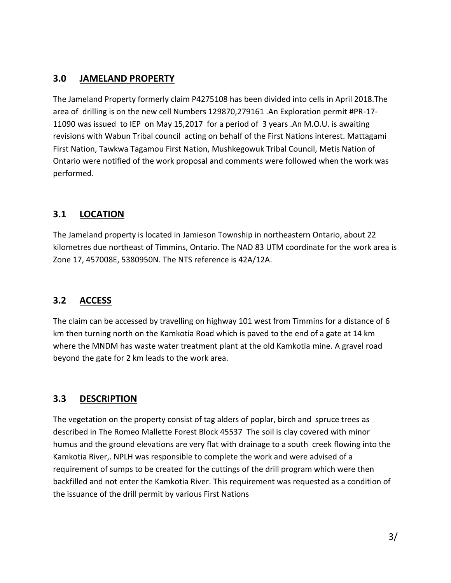## **3.0 JAMELAND PROPERTY**

The Jameland Property formerly claim P4275108 has been divided into cells in April 2018.The area of drilling is on the new cell Numbers 129870,279161 .An Exploration permit #PR-17- 11090 was issued to IEP on May 15,2017 for a period of 3 years .An M.O.U. is awaiting revisions with Wabun Tribal council acting on behalf of the First Nations interest. Mattagami First Nation, Tawkwa Tagamou First Nation, Mushkegowuk Tribal Council, Metis Nation of Ontario were notified of the work proposal and comments were followed when the work was performed.

## **3.1 LOCATION**

The Jameland property is located in Jamieson Township in northeastern Ontario, about 22 kilometres due northeast of Timmins, Ontario. The NAD 83 UTM coordinate for the work area is Zone 17, 457008E, 5380950N. The NTS reference is 42A/12A.

#### **3.2 ACCESS**

The claim can be accessed by travelling on highway 101 west from Timmins for a distance of 6 km then turning north on the Kamkotia Road which is paved to the end of a gate at 14 km where the MNDM has waste water treatment plant at the old Kamkotia mine. A gravel road beyond the gate for 2 km leads to the work area.

#### **3.3 DESCRIPTION**

The vegetation on the property consist of tag alders of poplar, birch and spruce trees as described in The Romeo Mallette Forest Block 45537 The soil is clay covered with minor humus and the ground elevations are very flat with drainage to a south creek flowing into the Kamkotia River,. NPLH was responsible to complete the work and were advised of a requirement of sumps to be created for the cuttings of the drill program which were then backfilled and not enter the Kamkotia River. This requirement was requested as a condition of the issuance of the drill permit by various First Nations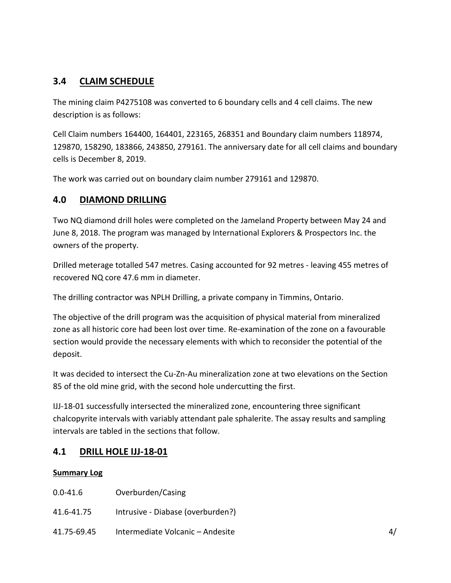## **3.4 CLAIM SCHEDULE**

The mining claim P4275108 was converted to 6 boundary cells and 4 cell claims. The new description is as follows:

Cell Claim numbers 164400, 164401, 223165, 268351 and Boundary claim numbers 118974, 129870, 158290, 183866, 243850, 279161. The anniversary date for all cell claims and boundary cells is December 8, 2019.

The work was carried out on boundary claim number 279161 and 129870.

#### **4.0 DIAMOND DRILLING**

Two NQ diamond drill holes were completed on the Jameland Property between May 24 and June 8, 2018. The program was managed by International Explorers & Prospectors Inc. the owners of the property.

Drilled meterage totalled 547 metres. Casing accounted for 92 metres - leaving 455 metres of recovered NQ core 47.6 mm in diameter.

The drilling contractor was NPLH Drilling, a private company in Timmins, Ontario.

The objective of the drill program was the acquisition of physical material from mineralized zone as all historic core had been lost over time. Re-examination of the zone on a favourable section would provide the necessary elements with which to reconsider the potential of the deposit.

It was decided to intersect the Cu-Zn-Au mineralization zone at two elevations on the Section 85 of the old mine grid, with the second hole undercutting the first.

IJJ-18-01 successfully intersected the mineralized zone, encountering three significant chalcopyrite intervals with variably attendant pale sphalerite. The assay results and sampling intervals are tabled in the sections that follow.

#### **4.1 DRILL HOLE IJJ-18-01**

#### **Summary Log**

- 0.0-41.6 Overburden/Casing
- 41.6-41.75 Intrusive Diabase (overburden?)
- 41.75-69.45 Intermediate Volcanic Andesite 4/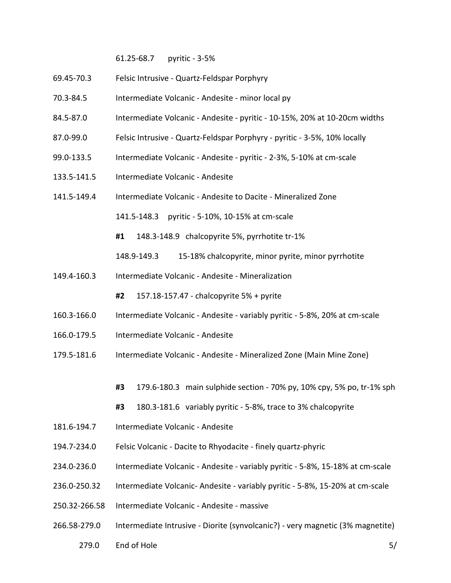61.25-68.7 pyritic - 3-5%

- 69.45-70.3 Felsic Intrusive Quartz-Feldspar Porphyry
- 70.3-84.5 Intermediate Volcanic Andesite minor local py
- 84.5-87.0 Intermediate Volcanic Andesite pyritic 10-15%, 20% at 10-20cm widths
- 87.0-99.0 Felsic Intrusive Quartz-Feldspar Porphyry pyritic 3-5%, 10% locally
- 99.0-133.5 Intermediate Volcanic Andesite pyritic 2-3%, 5-10% at cm-scale
- 133.5-141.5 Intermediate Volcanic Andesite
- 141.5-149.4 Intermediate Volcanic Andesite to Dacite Mineralized Zone

141.5-148.3 pyritic - 5-10%, 10-15% at cm-scale

**#1** 148.3-148.9 chalcopyrite 5%, pyrrhotite tr-1%

148.9-149.3 15-18% chalcopyrite, minor pyrite, minor pyrrhotite

149.4-160.3 Intermediate Volcanic - Andesite - Mineralization

**#2** 157.18-157.47 - chalcopyrite 5% + pyrite

- 160.3-166.0 Intermediate Volcanic Andesite variably pyritic 5-8%, 20% at cm-scale
- 166.0-179.5 Intermediate Volcanic Andesite
- 179.5-181.6 Intermediate Volcanic Andesite Mineralized Zone (Main Mine Zone)
	- **#3** 179.6-180.3 main sulphide section 70% py, 10% cpy, 5% po, tr-1% sph

```
#3 180.3-181.6 variably pyritic - 5-8%, trace to 3% chalcopyrite
```
- 181.6-194.7 Intermediate Volcanic Andesite
- 194.7-234.0 Felsic Volcanic Dacite to Rhyodacite finely quartz-phyric
- 234.0-236.0 Intermediate Volcanic Andesite variably pyritic 5-8%, 15-18% at cm-scale
- 236.0-250.32 Intermediate Volcanic- Andesite variably pyritic 5-8%, 15-20% at cm-scale
- 250.32-266.58 Intermediate Volcanic Andesite massive
- 266.58-279.0 Intermediate Intrusive Diorite (synvolcanic?) very magnetic (3% magnetite)
	- 279.0 End of Hole 5/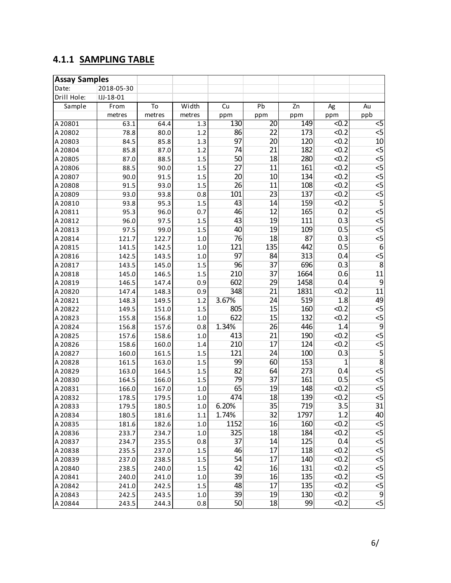# **4.1.1 SAMPLING TABLE**

| <b>Assay Samples</b> |             |        |         |                 |                 |      |                   |                 |
|----------------------|-------------|--------|---------|-----------------|-----------------|------|-------------------|-----------------|
| Date:                | 2018-05-30  |        |         |                 |                 |      |                   |                 |
| Drill Hole:          | $IJJ-18-01$ |        |         |                 |                 |      |                   |                 |
| Sample               | From        | To     | Width   | Cu              | Pb              | Zn   | Ag                | Au              |
|                      | metres      | metres | metres  | ppm             | ppm             | ppm  | ppm               | ppb             |
| A20801               | 63.1        | 64.4   | 1.3     | 130             | $\overline{20}$ | 149  | $\overline{50.2}$ | $\overline{c}$  |
| A 20802              | 78.8        | 80.0   | 1.2     | 86              | 22              | 173  | < 0.2             | $\overline{5}$  |
| A 20803              | 84.5        | 85.8   | 1.3     | 97              | 20              | 120  | < 0.2             | 10              |
| A 20804              | 85.8        | 87.0   | 1.2     | 74              | 21              | 182  | < 0.2             | $\overline{5}$  |
| A 20805              | 87.0        | 88.5   | 1.5     | 50              | 18              | 280  | < 0.2             | $\overline{5}$  |
| A20806               | 88.5        | 90.0   | 1.5     | 27              | 11              | 161  | < 0.2             | $\overline{5}$  |
| A 20807              | 90.0        | 91.5   | 1.5     | 20              | 10              | 134  | < 0.2             | $\overline{5}$  |
| A 20808              | 91.5        | 93.0   | 1.5     | $\overline{26}$ | 11              | 108  | < 0.2             | 5               |
| A 20809              | 93.0        | 93.8   | 0.8     | 101             | $\overline{23}$ | 137  | < 0.2             | $\overline{5}$  |
| A20810               | 93.8        | 95.3   | 1.5     | 43              | 14              | 159  | < 0.2             | 5               |
| A20811               | 95.3        | 96.0   | 0.7     | 46              | 12              | 165  | 0.2               | $\overline{5}$  |
| A20812               | 96.0        | 97.5   | 1.5     | 43              | 19              | 111  | 0.3               | $\overline{5}$  |
| A 20813              | 97.5        | 99.0   | 1.5     | 40              | 19              | 109  | 0.5               | $\overline{5}$  |
| A 20814              | 121.7       | 122.7  | 1.0     | 76              | 18              | 87   | 0.3               | $\overline{5}$  |
| A 20815              | 141.5       | 142.5  | 1.0     | 121             | 135             | 442  | 0.5               | $\overline{6}$  |
| A20816               | 142.5       | 143.5  | 1.0     | 97              | 84              | 313  | 0.4               | $\overline{5}$  |
| A 20817              | 143.5       | 145.0  | 1.5     | 96              | 37              | 696  | 0.3               | $\overline{8}$  |
| A 20818              | 145.0       | 146.5  | 1.5     | 210             | 37              | 1664 | 0.6               | $\overline{11}$ |
| A20819               | 146.5       | 147.4  | 0.9     | 602             | 29              | 1458 | 0.4               | $\overline{9}$  |
| A20820               | 147.4       | 148.3  | 0.9     | 348             | 21              | 1831 | < 0.2             | $\overline{11}$ |
| A20821               | 148.3       | 149.5  | 1.2     | 3.67%           | 24              | 519  | 1.8               | 49              |
| A20822               | 149.5       | 151.0  | 1.5     | 805             | $\overline{15}$ | 160  | < 0.2             | $\overline{5}$  |
| A 20823              | 155.8       | 156.8  | 1.0     | 622             | $\overline{15}$ | 132  | < 0.2             | $\overline{5}$  |
| A20824               | 156.8       | 157.6  | 0.8     | 1.34%           | 26              | 446  | 1.4               | $\overline{9}$  |
| A 20825              | 157.6       | 158.6  | 1.0     | 413             | 21              | 190  | < 0.2             | $\overline{5}$  |
| A20826               | 158.6       | 160.0  | 1.4     | 210             | 17              | 124  | < 0.2             | $\overline{5}$  |
| A20827               | 160.0       | 161.5  | 1.5     | 121             | 24              | 100  | 0.3               | 5               |
| A20828               | 161.5       | 163.0  | 1.5     | 99              | 60              | 153  | $\overline{1}$    | $\overline{8}$  |
| A 20829              | 163.0       | 164.5  | 1.5     | 82              | 64              | 273  | 0.4               | 5               |
| A 20830              | 164.5       | 166.0  | 1.5     | 79              | 37              | 161  | 0.5               | $\overline{5}$  |
| A20831               | 166.0       | 167.0  | 1.0     | 65              | 19              | 148  | < 0.2             | $\overline{5}$  |
| A20832               | 178.5       | 179.5  | $1.0\,$ | 474             | 18              | 139  | < 0.2             | $\overline{5}$  |
| A 20833              | 179.5       | 180.5  | 1.0     | 6.20%           | 35              | 719  | $\overline{3.5}$  | $\overline{31}$ |
| A 20834              | 180.5       | 181.6  | 1.1     | 1.74%           | 32              | 1797 | 1.2               | 40              |
| A 20835              | 181.6       | 182.6  | $1.0\,$ | 1152            | 16              | 160  | < 0.2             | $\overline{5}$  |
| A 20836              | 233.7       | 234.7  | 1.0     | 325             | 18              | 184  | < 0.2             | $\overline{5}$  |
| A 20837              | 234.7       | 235.5  | 0.8     | 37              | 14              | 125  | 0.4               | $\overline{5}$  |
| A 20838              | 235.5       | 237.0  | 1.5     | 46              | 17              | 118  | < 0.2             | $\overline{5}$  |
| A20839               | 237.0       | 238.5  | 1.5     | 54              | 17              | 140  | < 0.2             | $\overline{5}$  |
| A 20840              | 238.5       | 240.0  | 1.5     | 42              | 16              | 131  | < 0.2             | $\overline{5}$  |
| A 20841              | 240.0       | 241.0  | 1.0     | 39              | 16              | 135  | < 0.2             | $\overline{5}$  |
| A 20842              | 241.0       | 242.5  | 1.5     | 48              | 17              | 135  | < 0.2             | $\overline{5}$  |
| A 20843              | 242.5       | 243.5  | 1.0     | 39              | 19              | 130  | < 0.2             | $\overline{9}$  |
| A20844               | 243.5       | 244.3  | 0.8     | 50              | 18              | 99   | < 0.2             | $\overline{5}$  |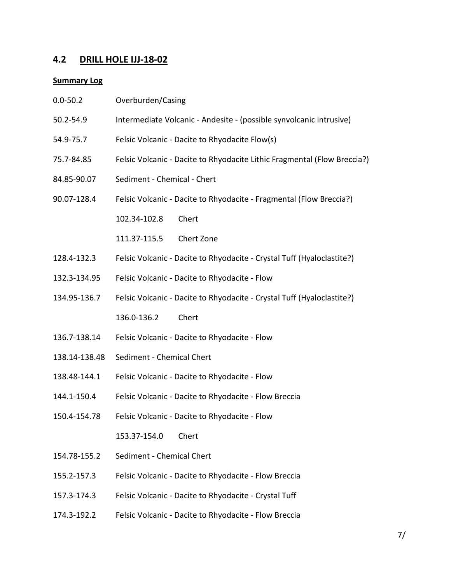# **4.2 DRILL HOLE IJJ-18-02**

#### **Summary Log**

| $0.0 - 50.2$  | Overburden/Casing                                                        |
|---------------|--------------------------------------------------------------------------|
| 50.2-54.9     | Intermediate Volcanic - Andesite - (possible synvolcanic intrusive)      |
| 54.9-75.7     | Felsic Volcanic - Dacite to Rhyodacite Flow(s)                           |
| 75.7-84.85    | Felsic Volcanic - Dacite to Rhyodacite Lithic Fragmental (Flow Breccia?) |
| 84.85-90.07   | Sediment - Chemical - Chert                                              |
| 90.07-128.4   | Felsic Volcanic - Dacite to Rhyodacite - Fragmental (Flow Breccia?)      |
|               | Chert<br>102.34-102.8                                                    |
|               | 111.37-115.5<br>Chert Zone                                               |
| 128.4-132.3   | Felsic Volcanic - Dacite to Rhyodacite - Crystal Tuff (Hyaloclastite?)   |
| 132.3-134.95  | Felsic Volcanic - Dacite to Rhyodacite - Flow                            |
| 134.95-136.7  | Felsic Volcanic - Dacite to Rhyodacite - Crystal Tuff (Hyaloclastite?)   |
|               | 136.0-136.2<br>Chert                                                     |
| 136.7-138.14  | Felsic Volcanic - Dacite to Rhyodacite - Flow                            |
| 138.14-138.48 | Sediment - Chemical Chert                                                |
| 138.48-144.1  | Felsic Volcanic - Dacite to Rhyodacite - Flow                            |
| 144.1-150.4   | Felsic Volcanic - Dacite to Rhyodacite - Flow Breccia                    |
| 150.4-154.78  | Felsic Volcanic - Dacite to Rhyodacite - Flow                            |
|               | Chert<br>153.37-154.0                                                    |
| 154.78-155.2  | Sediment - Chemical Chert                                                |
| 155.2-157.3   | Felsic Volcanic - Dacite to Rhyodacite - Flow Breccia                    |
| 157.3-174.3   | Felsic Volcanic - Dacite to Rhyodacite - Crystal Tuff                    |
| 174.3-192.2   | Felsic Volcanic - Dacite to Rhyodacite - Flow Breccia                    |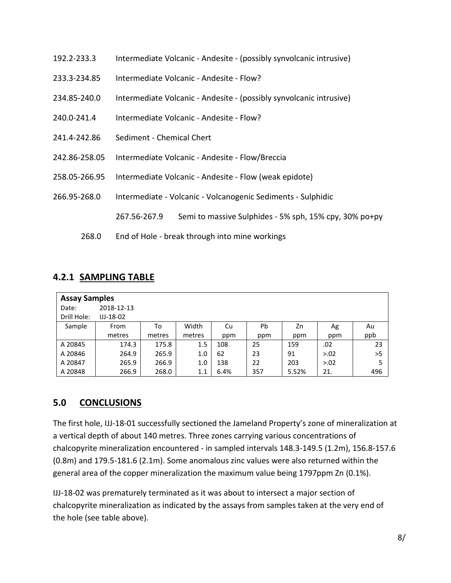- 192.2-233.3 Intermediate Volcanic Andesite (possibly synvolcanic intrusive)
- 233.3-234.85 Intermediate Volcanic Andesite Flow?
- 234.85-240.0 Intermediate Volcanic Andesite (possibly synvolcanic intrusive)
- 240.0-241.4 Intermediate Volcanic Andesite Flow?
- 241.4-242.86 Sediment Chemical Chert
- 242.86-258.05 Intermediate Volcanic Andesite Flow/Breccia
- 258.05-266.95 Intermediate Volcanic Andesite Flow (weak epidote)
- 266.95-268.0 Intermediate Volcanic Volcanogenic Sediments Sulphidic
	- 267.56-267.9 Semi to massive Sulphides 5% sph, 15% cpy, 30% po+py
	- 268.0 End of Hole break through into mine workings

#### **4.2.1 SAMPLING TABLE**

| <b>Assay Samples</b> |                |        |        |      |     |       |        |     |  |
|----------------------|----------------|--------|--------|------|-----|-------|--------|-----|--|
| Date:                | 2018-12-13     |        |        |      |     |       |        |     |  |
| Drill Hole:          | $IJ - 18 - 02$ |        |        |      |     |       |        |     |  |
| Sample               | From           | To     | Width  | Cu   | Pb  | Zn    | Ag     | Au  |  |
|                      | metres         | metres | metres | ppm  | ppm | ppm   | ppm    | ppb |  |
| A 20845              | 174.3          | 175.8  | 1.5    | 108  | 25  | 159   | .02    | 23  |  |
| A 20846              | 264.9          | 265.9  | 1.0    | 62   | 23  | 91    | > 0.02 | >5  |  |
| A 20847              | 265.9          | 266.9  | 1.0    | 138  | 22  | 203   | > 0.02 | 5   |  |
| A 20848              | 266.9          | 268.0  | 1.1    | 6.4% | 357 | 5.52% | 21.    | 496 |  |

#### **5.0 CONCLUSIONS**

The first hole, IJJ-18-01 successfully sectioned the Jameland Property's zone of mineralization at a vertical depth of about 140 metres. Three zones carrying various concentrations of chalcopyrite mineralization encountered - in sampled intervals 148.3-149.5 (1.2m), 156.8-157.6 (0.8m) and 179.5-181.6 (2.1m). Some anomalous zinc values were also returned within the general area of the copper mineralization the maximum value being 1797ppm Zn (0.1%).

IJJ-18-02 was prematurely terminated as it was about to intersect a major section of chalcopyrite mineralization as indicated by the assays from samples taken at the very end of the hole (see table above).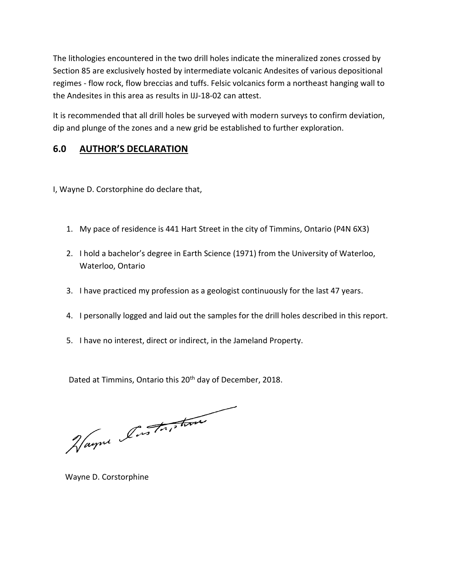The lithologies encountered in the two drill holes indicate the mineralized zones crossed by Section 85 are exclusively hosted by intermediate volcanic Andesites of various depositional regimes - flow rock, flow breccias and tuffs. Felsic volcanics form a northeast hanging wall to the Andesites in this area as results in IJJ-18-02 can attest.

It is recommended that all drill holes be surveyed with modern surveys to confirm deviation, dip and plunge of the zones and a new grid be established to further exploration.

# **6.0 AUTHOR'S DECLARATION**

I, Wayne D. Corstorphine do declare that,

- 1. My pace of residence is 441 Hart Street in the city of Timmins, Ontario (P4N 6X3)
- 2. I hold a bachelor's degree in Earth Science (1971) from the University of Waterloo, Waterloo, Ontario
- 3. I have practiced my profession as a geologist continuously for the last 47 years.
- 4. I personally logged and laid out the samples for the drill holes described in this report.
- 5. I have no interest, direct or indirect, in the Jameland Property.

Dated at Timmins, Ontario this 20<sup>th</sup> day of December, 2018.

Hayne Instriction

Wayne D. Corstorphine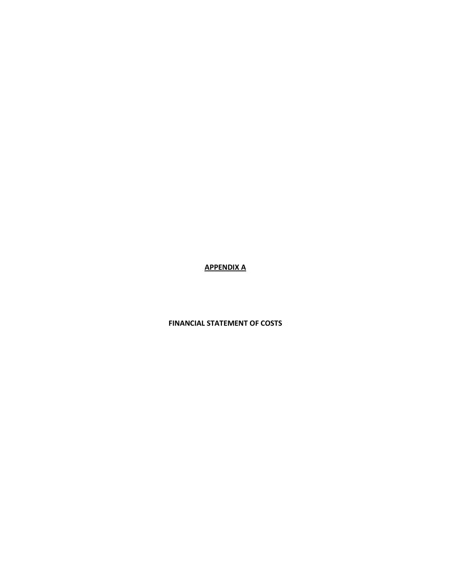**APPENDIX A**

#### **FINANCIAL STATEMENT OF COSTS**